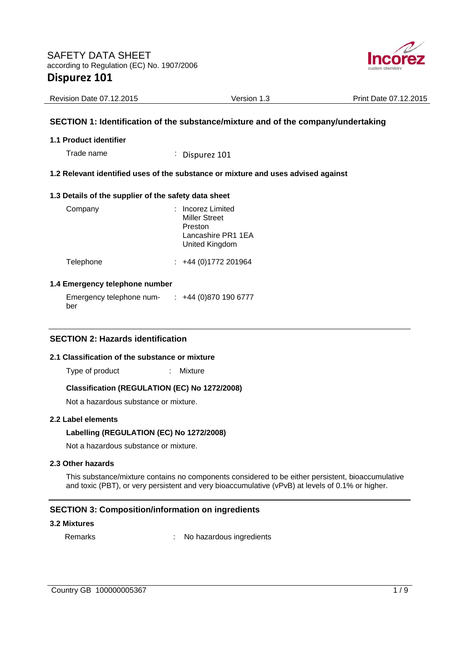

| <b>Revision Date 07.12.2015</b> | Version 1.3 | Print Date 07.12.2015 |
|---------------------------------|-------------|-----------------------|
|                                 |             |                       |

## **SECTION 1: Identification of the substance/mixture and of the company/undertaking**

### **1.1 Product identifier**

Trade name : Dispurez 101

## **1.2 Relevant identified uses of the substance or mixture and uses advised against**

### **1.3 Details of the supplier of the safety data sheet**

| Company   | : Incorez Limited<br><b>Miller Street</b><br>Preston<br>Lancashire PR1 1EA<br>United Kingdom |
|-----------|----------------------------------------------------------------------------------------------|
| Telephone | $: +44(0)1772201964$                                                                         |

### **1.4 Emergency telephone number**

Emergency telephone number : +44 (0)870 190 6777

## **SECTION 2: Hazards identification**

### **2.1 Classification of the substance or mixture**

Type of product : Mixture

## **Classification (REGULATION (EC) No 1272/2008)**

Not a hazardous substance or mixture.

### **2.2 Label elements**

## **Labelling (REGULATION (EC) No 1272/2008)**

Not a hazardous substance or mixture.

### **2.3 Other hazards**

This substance/mixture contains no components considered to be either persistent, bioaccumulative and toxic (PBT), or very persistent and very bioaccumulative (vPvB) at levels of 0.1% or higher.

## **SECTION 3: Composition/information on ingredients**

### **3.2 Mixtures**

Remarks : No hazardous ingredients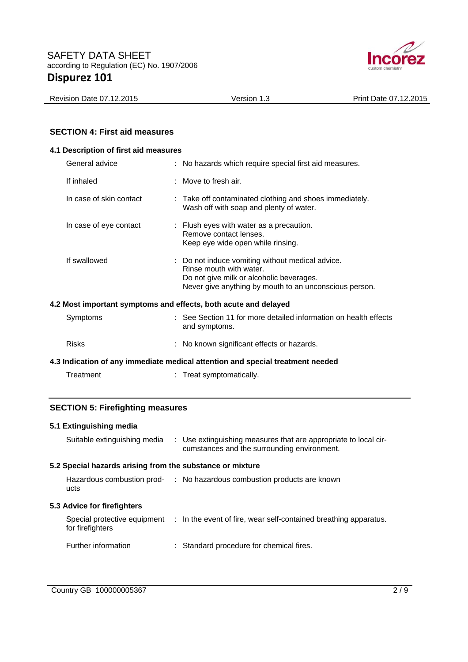

Revision Date 07.12.2015 Version 1.3 Print Date 07.12.2015

## **SECTION 4: First aid measures**

## **4.1 Description of first aid measures**

| General advice          | : No hazards which require special first aid measures.                                                                                                                            |
|-------------------------|-----------------------------------------------------------------------------------------------------------------------------------------------------------------------------------|
| If inhaled              | $\therefore$ Move to fresh air.                                                                                                                                                   |
| In case of skin contact | : Take off contaminated clothing and shoes immediately.<br>Wash off with soap and plenty of water.                                                                                |
| In case of eye contact  | $\therefore$ Flush eyes with water as a precaution.<br>Remove contact lenses.<br>Keep eye wide open while rinsing.                                                                |
| If swallowed            | : Do not induce vomiting without medical advice.<br>Rinse mouth with water.<br>Do not give milk or alcoholic beverages.<br>Never give anything by mouth to an unconscious person. |
|                         | 4.2 Most important symptoms and effects, both acute and delayed                                                                                                                   |
| Symptoms                | : See Section 11 for more detailed information on health effects<br>and symptoms.                                                                                                 |

# **4.3 Indication of any immediate medical attention and special treatment needed**

Risks : No known significant effects or hazards.

| Treatment | Treat symptomatically. |
|-----------|------------------------|
|           |                        |

## **SECTION 5: Firefighting measures**

# **5.1 Extinguishing media**

| Suitable extinguishing media                              | : Use extinguishing measures that are appropriate to local cir-<br>cumstances and the surrounding environment. |
|-----------------------------------------------------------|----------------------------------------------------------------------------------------------------------------|
| 5.2 Special hazards arising from the substance or mixture |                                                                                                                |
| ucts                                                      | Hazardous combustion prod- : No hazardous combustion products are known                                        |
| 5.3 Advice for firefighters                               |                                                                                                                |
|                                                           |                                                                                                                |
| for firefighters                                          | Special protective equipment : In the event of fire, wear self-contained breathing apparatus.                  |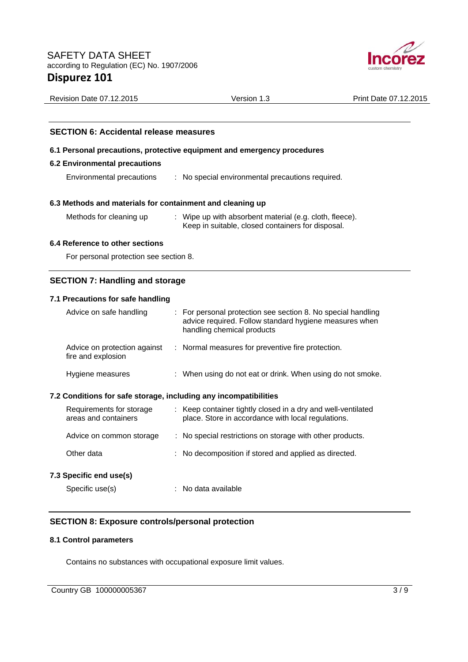

| <b>SECTION 6: Accidental release measures</b>                           |                                                  |  |  |
|-------------------------------------------------------------------------|--------------------------------------------------|--|--|
| 6.1 Personal precautions, protective equipment and emergency procedures |                                                  |  |  |
| <b>6.2 Environmental precautions</b>                                    |                                                  |  |  |
| Environmental precautions                                               | : No special environmental precautions required. |  |  |

Revision Date 07.12.2015 Version 1.3 Print Date 07.12.2015

## **6.3 Methods and materials for containment and cleaning up**

Methods for cleaning up : Wipe up with absorbent material (e.g. cloth, fleece). Keep in suitable, closed containers for disposal.

## **6.4 Reference to other sections**

For personal protection see section 8.

# **SECTION 7: Handling and storage**

# **7.1 Precautions for safe handling**

| Advice on safe handling                                          | : For personal protection see section 8. No special handling<br>advice required. Follow standard hygiene measures when<br>handling chemical products |
|------------------------------------------------------------------|------------------------------------------------------------------------------------------------------------------------------------------------------|
| Advice on protection against<br>fire and explosion               | : Normal measures for preventive fire protection.                                                                                                    |
| Hygiene measures                                                 | : When using do not eat or drink. When using do not smoke.                                                                                           |
| 7.2 Conditions for safe storage, including any incompatibilities |                                                                                                                                                      |
| Requirements for storage<br>areas and containers                 | : Keep container tightly closed in a dry and well-ventilated<br>place. Store in accordance with local regulations.                                   |
| Advice on common storage                                         | : No special restrictions on storage with other products.                                                                                            |
| Other data                                                       | : No decomposition if stored and applied as directed.                                                                                                |
| 7.3 Specific end use(s)                                          |                                                                                                                                                      |
| Specific use(s)                                                  | : No data available                                                                                                                                  |

# **SECTION 8: Exposure controls/personal protection**

## **8.1 Control parameters**

Contains no substances with occupational exposure limit values.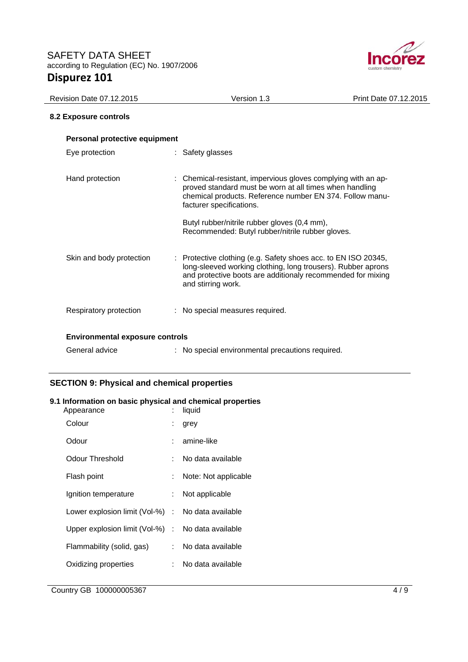

| <b>Revision Date 07.12.2015</b>        | Version 1.3                                                                                                                                                                                                         | Print Date 07.12.2015 |
|----------------------------------------|---------------------------------------------------------------------------------------------------------------------------------------------------------------------------------------------------------------------|-----------------------|
| 8.2 Exposure controls                  |                                                                                                                                                                                                                     |                       |
| Personal protective equipment          |                                                                                                                                                                                                                     |                       |
| Eye protection                         | : Safety glasses                                                                                                                                                                                                    |                       |
| Hand protection                        | : Chemical-resistant, impervious gloves complying with an ap-<br>proved standard must be worn at all times when handling<br>chemical products. Reference number EN 374. Follow manu-<br>facturer specifications.    |                       |
|                                        | Butyl rubber/nitrile rubber gloves (0,4 mm),<br>Recommended: Butyl rubber/nitrile rubber gloves.                                                                                                                    |                       |
| Skin and body protection               | : Protective clothing (e.g. Safety shoes acc. to EN ISO 20345,<br>long-sleeved working clothing, long trousers). Rubber aprons<br>and protective boots are additionaly recommended for mixing<br>and stirring work. |                       |
| Respiratory protection                 | : No special measures required.                                                                                                                                                                                     |                       |
| <b>Environmental exposure controls</b> |                                                                                                                                                                                                                     |                       |
| General advice                         | : No special environmental precautions required.                                                                                                                                                                    |                       |

# **SECTION 9: Physical and chemical properties**

## **9.1 Information on basic physical and chemical properties**

| Appearance                                        | t. | liquid               |
|---------------------------------------------------|----|----------------------|
| Colour                                            |    | grey                 |
| Odour                                             |    | amine-like           |
| Odour Threshold                                   | ۰. | No data available    |
| Flash point                                       |    | Note: Not applicable |
| Ignition temperature                              |    | Not applicable       |
| Lower explosion limit (Vol-%) : No data available |    |                      |
| Upper explosion limit (Vol-%) : No data available |    |                      |
| Flammability (solid, gas)                         |    | : No data available  |
| Oxidizing properties                              | t. | No data available    |
|                                                   |    |                      |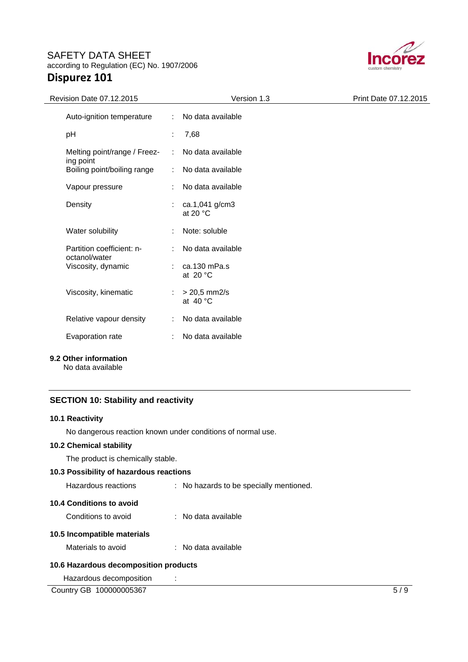# SAFETY DATA SHEET according to Regulation (EC) No. 1907/2006 **Dispurez 101**



| Revision Date 07.12.2015                   |    | Version 1.3                             | Print Date 07.12.2015 |
|--------------------------------------------|----|-----------------------------------------|-----------------------|
| Auto-ignition temperature                  |    | : No data available                     |                       |
| pH                                         |    | 7,68                                    |                       |
| Melting point/range / Freez-               | ÷  | No data available                       |                       |
| ing point<br>Boiling point/boiling range   | ÷  | No data available                       |                       |
| Vapour pressure                            |    | No data available                       |                       |
| Density                                    |    | ca.1,041 g/cm3<br>at 20 $\degree$ C     |                       |
| Water solubility                           |    | Note: soluble                           |                       |
| Partition coefficient: n-<br>octanol/water |    | No data available                       |                       |
| Viscosity, dynamic                         |    | $\therefore$ ca.130 mPa.s<br>at $20 °C$ |                       |
| Viscosity, kinematic                       |    | $> 20,5$ mm2/s<br>at $40^{\circ}$ C     |                       |
| Relative vapour density                    | ÷. | No data available                       |                       |
| Evaporation rate                           |    | No data available                       |                       |
|                                            |    |                                         |                       |

# **9.2 Other information**

No data available

## **SECTION 10: Stability and reactivity**

## **10.1 Reactivity**

No dangerous reaction known under conditions of normal use.

## **10.2 Chemical stability**

The product is chemically stable.

# **10.3 Possibility of hazardous reactions**

| Hazardous reactions         | : No hazards to be specially mentioned. |
|-----------------------------|-----------------------------------------|
| 10.4 Conditions to avoid    |                                         |
| Conditions to avoid         | : No data available                     |
| 10.5 Incompatible materials |                                         |
| Materials to avoid          | : No data available                     |
|                             |                                         |

# **10.6 Hazardous decomposition products**

Hazardous decomposition :

Country GB 100000005367 5/9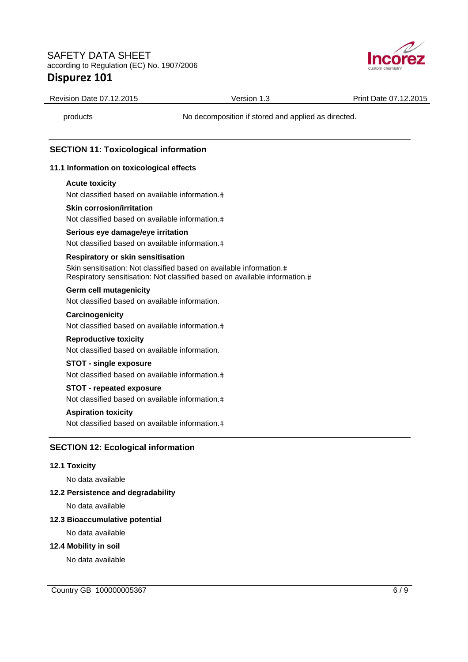# SAFETY DATA SHEET according to Regulation (EC) No. 1907/2006 **Dispurez 101**



Revision Date 07.12.2015 Version 1.3 Print Date 07.12.2015

products No decomposition if stored and applied as directed.

## **SECTION 11: Toxicological information**

### **11.1 Information on toxicological effects**

### **Acute toxicity**

Not classified based on available information.

### **Skin corrosion/irritation**

Not classified based on available information.

### **Serious eye damage/eye irritation**

Not classified based on available information.

### **Respiratory or skin sensitisation**

Skin sensitisation: Not classified based on available information. Respiratory sensitisation: Not classified based on available information.

### **Germ cell mutagenicity**

Not classified based on available information.

#### **Carcinogenicity**

Not classified based on available information.

### **Reproductive toxicity**

Not classified based on available information.

### **STOT - single exposure**

Not classified based on available information.

### **STOT - repeated exposure**

Not classified based on available information.

## **Aspiration toxicity**

Not classified based on available information.

## **SECTION 12: Ecological information**

### **12.1 Toxicity**

No data available

### **12.2 Persistence and degradability**

No data available

### **12.3 Bioaccumulative potential**

No data available

## **12.4 Mobility in soil**

No data available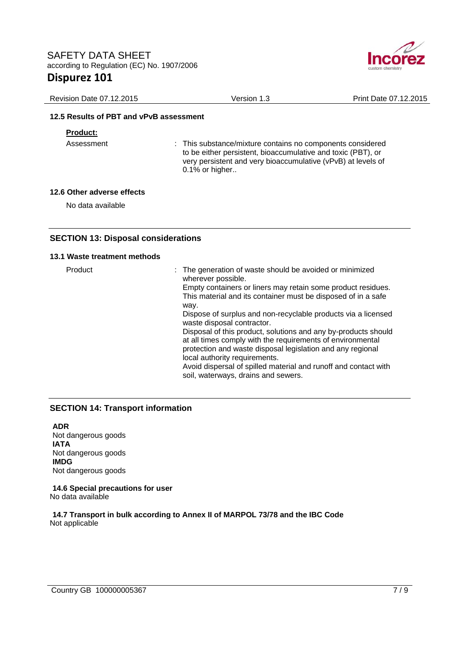

| Revision Date 07.12.2015                | Version 1.3 | Print Date 07.12.2015 |
|-----------------------------------------|-------------|-----------------------|
| 12.5 Results of PBT and vPvB assessment |             |                       |

### **Product:**

Assessment : This substance/mixture contains no components considered to be either persistent, bioaccumulative and toxic (PBT), or very persistent and very bioaccumulative (vPvB) at levels of 0.1% or higher..

### **12.6 Other adverse effects**

No data available

## **SECTION 13: Disposal considerations**

### **13.1 Waste treatment methods**

Product **interest in the generation of waste should be avoided or minimized** wherever possible. Empty containers or liners may retain some product residues. This material and its container must be disposed of in a safe way. Dispose of surplus and non-recyclable products via a licensed waste disposal contractor. Disposal of this product, solutions and any by-products should at all times comply with the requirements of environmental protection and waste disposal legislation and any regional local authority requirements. Avoid dispersal of spilled material and runoff and contact with soil, waterways, drains and sewers.

## **SECTION 14: Transport information**

**ADR**  Not dangerous goods **IATA**  Not dangerous goods **IMDG**  Not dangerous goods

**14.6 Special precautions for user**  No data available

**14.7 Transport in bulk according to Annex II of MARPOL 73/78 and the IBC Code**  Not applicable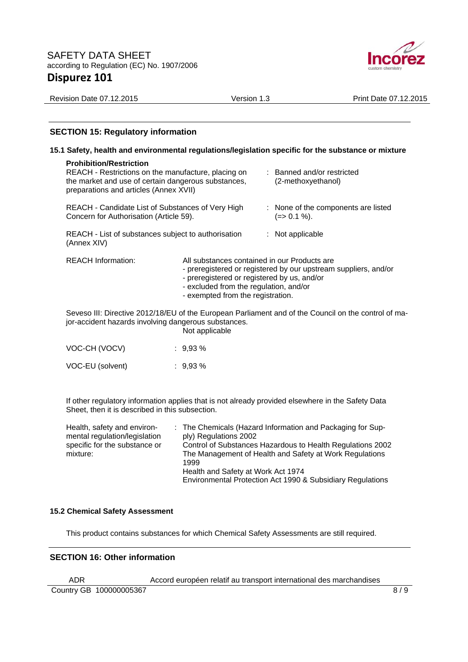

| <b>Revision Date 07.12.2015</b>                                                                                                              | Version 1.3                                      | Print Date 07.12.2015 |  |  |  |  |  |
|----------------------------------------------------------------------------------------------------------------------------------------------|--------------------------------------------------|-----------------------|--|--|--|--|--|
|                                                                                                                                              |                                                  |                       |  |  |  |  |  |
| <b>SECTION 15: Regulatory information</b>                                                                                                    |                                                  |                       |  |  |  |  |  |
| 15.1 Safety, health and environmental regulations/legislation specific for the substance or mixture                                          |                                                  |                       |  |  |  |  |  |
| <b>Prohibition/Restriction</b><br>REACH - Restrictions on the manufacture, placing on<br>the market and use of certain dangerous substances, | : Banned and/or restricted<br>(2-methoxyethanol) |                       |  |  |  |  |  |

preparations and articles (Annex XVII) REACH - Candidate List of Substances of Very High Concern for Authorisation (Article 59). : None of the components are listed  $(=> 0.1 %).$ REACH - List of substances subject to authorisation (Annex XIV) : Not applicable

| <b>REACH Information:</b> | All substances contained in our Products are<br>- preregistered or registered by our upstream suppliers, and/or<br>- preregistered or registered by us, and/or<br>- excluded from the regulation, and/or<br>- exempted from the registration. |
|---------------------------|-----------------------------------------------------------------------------------------------------------------------------------------------------------------------------------------------------------------------------------------------|
|                           | Sovece III: Directive 2012/19/ELL of the European Parliament and of the Council on the central of m                                                                                                                                           |

Seveso III: Directive 2012/18/EU of the European Parliament and of the Council on the control of major-accident hazards involving dangerous substances.

Not applicable

| VOC-CH (VOCV)    | $: 9.93 \%$ |
|------------------|-------------|
| VOC-EU (solvent) | $: 9.93 \%$ |

If other regulatory information applies that is not already provided elsewhere in the Safety Data Sheet, then it is described in this subsection.

| Health, safety and environ-   | : The Chemicals (Hazard Information and Packaging for Sup- |
|-------------------------------|------------------------------------------------------------|
| mental regulation/legislation | ply) Regulations 2002                                      |
| specific for the substance or | Control of Substances Hazardous to Health Regulations 2002 |
| mixture:                      | The Management of Health and Safety at Work Regulations    |
|                               | 1999                                                       |
|                               | Health and Safety at Work Act 1974                         |
|                               | Environmental Protection Act 1990 & Subsidiary Regulations |

## **15.2 Chemical Safety Assessment**

This product contains substances for which Chemical Safety Assessments are still required.

## **SECTION 16: Other information**

ADR Accord européen relatif au transport international des marchandises

Country GB 100000005367 8/9